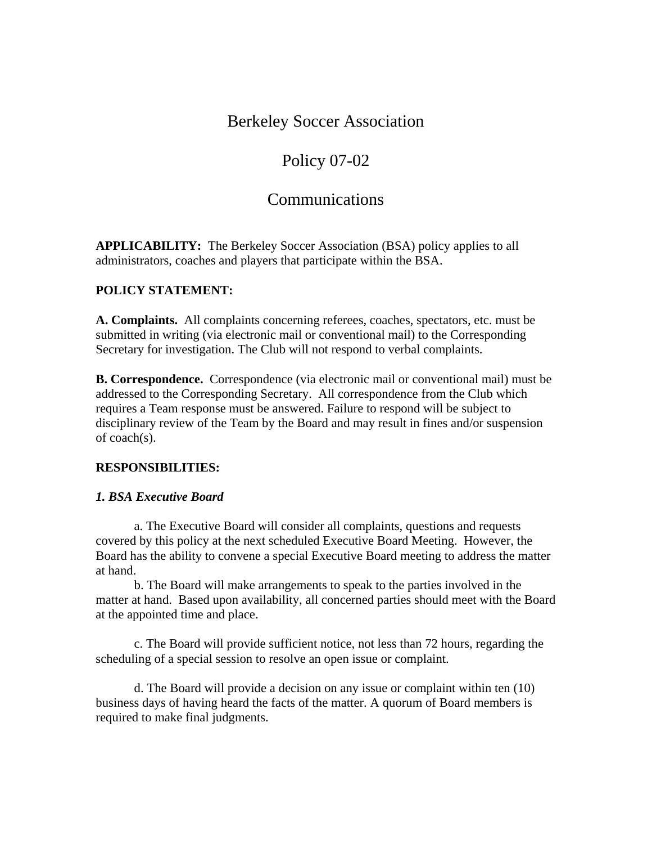## Berkeley Soccer Association

# Policy 07-02

## Communications

**APPLICABILITY:** The Berkeley Soccer Association (BSA) policy applies to all administrators, coaches and players that participate within the BSA.

### **POLICY STATEMENT:**

**A. Complaints.** All complaints concerning referees, coaches, spectators, etc. must be submitted in writing (via electronic mail or conventional mail) to the Corresponding Secretary for investigation. The Club will not respond to verbal complaints.

**B. Correspondence.** Correspondence (via electronic mail or conventional mail) must be addressed to the Corresponding Secretary.All correspondence from the Club which requires a Team response must be answered. Failure to respond will be subject to disciplinary review of the Team by the Board and may result in fines and/or suspension of coach(s).

#### **RESPONSIBILITIES:**

#### *1. BSA Executive Board*

 a. The Executive Board will consider all complaints, questions and requests covered by this policy at the next scheduled Executive Board Meeting. However, the Board has the ability to convene a special Executive Board meeting to address the matter at hand.

 b. The Board will make arrangements to speak to the parties involved in the matter at hand. Based upon availability, all concerned parties should meet with the Board at the appointed time and place.

 c. The Board will provide sufficient notice, not less than 72 hours, regarding the scheduling of a special session to resolve an open issue or complaint.

 d. The Board will provide a decision on any issue or complaint within ten (10) business days of having heard the facts of the matter. A quorum of Board members is required to make final judgments.